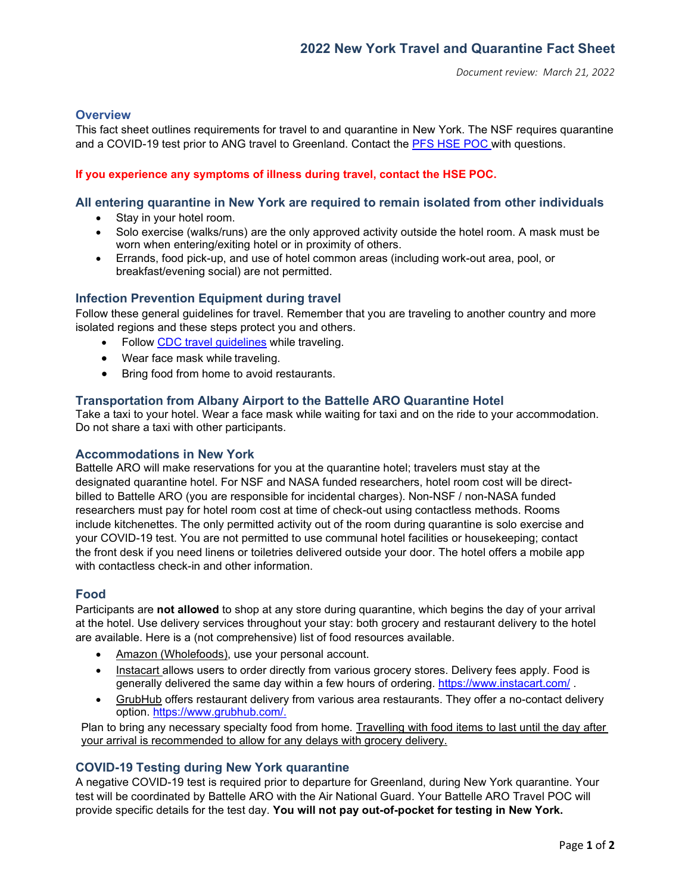# **Overview**

This fact sheet outlines requirements for travel to and quarantine in New York. The NSF requires quarantine and a COVID-19 test prior to ANG travel to Greenland. Contact the PFS HSE POC with questions.

### **If you experience any symptoms of illness during travel, contact the HSE POC.**

### **All entering quarantine in New York are required to remain isolated from other individuals**

- Stay in your hotel room.
- Solo exercise (walks/runs) are the only approved activity outside the hotel room. A mask must be worn when entering/exiting hotel or in proximity of others.
- Errands, food pick-up, and use of hotel common areas (including work-out area, pool, or breakfast/evening social) are not permitted.

### **Infection Prevention Equipment during travel**

Follow these general guidelines for travel. Remember that you are traveling to another country and more isolated regions and these steps protect you and others.

- Follow CDC travel guidelines while traveling.
- Wear face mask while traveling.
- Bring food from home to avoid restaurants.

### **Transportation from Albany Airport to the Battelle ARO Quarantine Hotel**

Take a taxi to your hotel. Wear a face mask while waiting for taxi and on the ride to your accommodation. Do not share a taxi with other participants.

#### **Accommodations in New York**

Battelle ARO will make reservations for you at the quarantine hotel; travelers must stay at the designated quarantine hotel. For NSF and NASA funded researchers, hotel room cost will be directbilled to Battelle ARO (you are responsible for incidental charges). Non-NSF / non-NASA funded researchers must pay for hotel room cost at time of check-out using contactless methods. Rooms include kitchenettes. The only permitted activity out of the room during quarantine is solo exercise and your COVID-19 test. You are not permitted to use communal hotel facilities or housekeeping; contact the front desk if you need linens or toiletries delivered outside your door. The hotel offers a mobile app with contactless check-in and other information.

## **Food**

Participants are **not allowed** to shop at any store during quarantine, which begins the day of your arrival at the hotel. Use delivery services throughout your stay: both grocery and restaurant delivery to the hotel are available. Here is a (not comprehensive) list of food resources available.

- Amazon (Wholefoods), use your personal account.
- Instacart allows users to order directly from various grocery stores. Delivery fees apply. Food is generally delivered the same day within a few hours of ordering. https://www.instacart.com/ .
- GrubHub offers restaurant delivery from various area restaurants. They offer a no-contact delivery option. https://www.grubhub.com/.

Plan to bring any necessary specialty food from home. Travelling with food items to last until the day after your arrival is recommended to allow for any delays with grocery delivery.

## **COVID-19 Testing during New York quarantine**

A negative COVID-19 test is required prior to departure for Greenland, during New York quarantine. Your test will be coordinated by Battelle ARO with the Air National Guard. Your Battelle ARO Travel POC will provide specific details for the test day. **You will not pay out-of-pocket for testing in New York.**